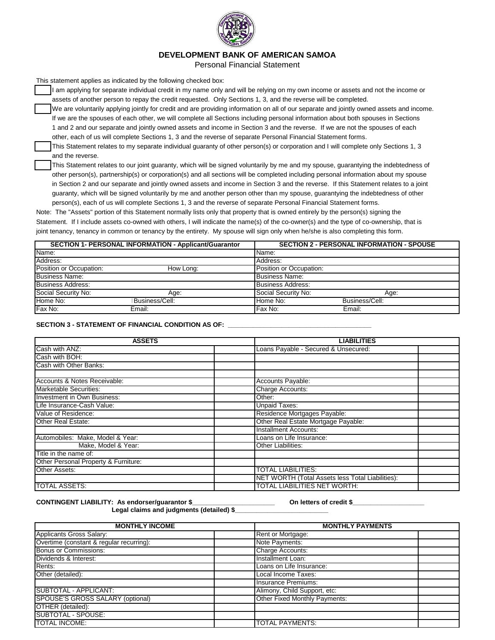

# **DEVELOPMENT BANK OF AMERICAN SAMOA**

Personal Financial Statement

This statement applies as indicated by the following checked box:

It am applying for separate individual credit in my name only and will be relying on my own income or assets and not the income or assets of another person to repay the credit requested. Only Sections 1, 3, and the reverse will be completed.

We are voluntarily applying jointly for credit and are providing information on all of our separate and jointly owned assets and income. If we are the spouses of each other, we will complete all Sections including personal information about both spouses in Sections 1 and 2 and our separate and jointly owned assets and income in Section 3 and the reverse. If we are not the spouses of each other, each of us will complete Sections 1, 3 and the reverse of separate Personal Financial Statement forms.

This Statement relates to my separate individual guaranty of other person(s) or corporation and I will complete only Sections 1, 3 and the reverse.

This Statement relates to our joint guaranty, which will be signed voluntarily by me and my spouse, guarantying the indebtedness of other person(s), partnership(s) or corporation(s) and all sections will be completed including personal information about my spouse in Section 2 and our separate and jointly owned assets and income in Section 3 and the reverse. If this Statement relates to a joint guaranty, which will be signed voluntarily by me and another person other than my spouse, guarantying the indebtedness of other person(s), each of us will complete Sections 1, 3 and the reverse of separate Personal Financial Statement forms.

Note: The "Assets" portion of this Statement normally lists only that property that is owned entirely by the person(s) signing the Statement. If I include assets co-owned with others, I will indicate the name(s) of the co-owner(s) and the type of co-ownership, that is joint tenancy, tenancy in common or tenancy by the entirety. My spouse will sign only when he/she is also completing this form.

|                          | <b>SECTION 1- PERSONAL INFORMATION - Applicant/Guarantor</b> |                          | <b>SECTION 2 - PERSONAL INFORMATION - SPOUSE</b> |
|--------------------------|--------------------------------------------------------------|--------------------------|--------------------------------------------------|
| Name:                    |                                                              | Name:                    |                                                  |
| Address:                 |                                                              | Address:                 |                                                  |
| Position or Occupation:  | How Long:                                                    | Position or Occupation:  |                                                  |
| <b>Business Name:</b>    |                                                              | Business Name:           |                                                  |
| <b>Business Address:</b> |                                                              | <b>Business Address:</b> |                                                  |
| Social Security No:      | Age:                                                         | Social Security No:      | Age:                                             |
| Home No:                 | Business/Cell:                                               | Home No:                 | Business/Cell:                                   |
| Fax No:                  | Email:                                                       | Fax No:                  | Email:                                           |

### SECTION 3 - STATEMENT OF FINANCIAL CONDITION AS OF:

| <b>ASSETS</b>                        | <b>LIABILITIES</b>                               |  |  |  |  |
|--------------------------------------|--------------------------------------------------|--|--|--|--|
| Cash with ANZ:                       | Loans Payable - Secured & Unsecured:             |  |  |  |  |
| Cash with BOH:                       |                                                  |  |  |  |  |
| Cash with Other Banks:               |                                                  |  |  |  |  |
|                                      |                                                  |  |  |  |  |
| Accounts & Notes Receivable:         | Accounts Payable:                                |  |  |  |  |
| <b>Marketable Securities:</b>        | Charge Accounts:                                 |  |  |  |  |
| Investment in Own Business:          | Other:                                           |  |  |  |  |
| Life Insurance-Cash Value:           | <b>Unpaid Taxes:</b>                             |  |  |  |  |
| Value of Residence:                  | Residence Mortgages Payable:                     |  |  |  |  |
| Other Real Estate:                   | Other Real Estate Mortgage Payable:              |  |  |  |  |
|                                      | <b>Installment Accounts:</b>                     |  |  |  |  |
| Automobiles: Make, Model & Year:     | Loans on Life Insurance:                         |  |  |  |  |
| Make, Model & Year:                  | Other Liabilities:                               |  |  |  |  |
| Title in the name of:                |                                                  |  |  |  |  |
| Other Personal Property & Furniture: |                                                  |  |  |  |  |
| Other Assets:                        | <b>TOTAL LIABILITIES:</b>                        |  |  |  |  |
|                                      | NET WORTH (Total Assets less Total Liabilities): |  |  |  |  |
| <b>TOTAL ASSETS:</b>                 | <b>TOTAL LIABILITIES NET WORTH:</b>              |  |  |  |  |

CONTINGENT LIABILITY: As endorser/guarantor \$\_\_\_\_\_\_\_\_\_\_\_\_\_\_\_\_\_\_\_\_\_\_\_\_\_\_\_\_\_\_On letters of credit \$\_

Legal claims and judgments (detailed) \$ Applicants Gross Salary: <br> **Applicants Gross Salary:** Rent or Mortgage: Rent or Mortgage: Rent or Mortgage: Rent or Mortgage: Rent or Mortgage: Rent or Mortgage: Rent or Mortgage: Rent or Mortgage: Rent or Mortgage: Rent o Overtime (constant & regular recurring): Bonus or Commissions: Charge Accounts: Charge Accounts: Dividends & Interest: **Installment Loan:** Installment Loan: Rents: Loans on Life Insurance: Other (detailed): **Local Income Taxes: Local Income Taxes:** Insurance Premiums: SUBTOTAL - APPLICANT: **Alimony, Child Support, etc:** Alimony, Child Support, etc: SPOUSE'S GROSS SALARY (optional) **CHACK CONSEX 1999** Other Fixed Monthly Payments: OTHER (detailed): SUBTOTAL - SPOUSE: TOTAL INCOME: TOTAL PAYMENTS: **MONTHLY INCOME MONTHLY PAYMENTS**